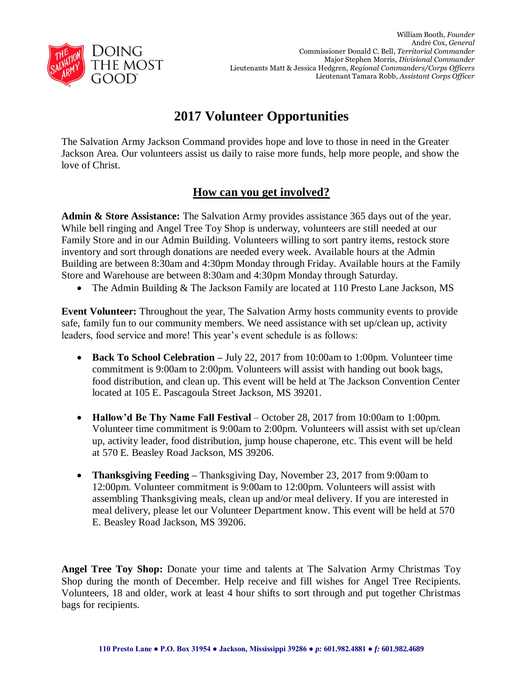

## **2017 Volunteer Opportunities**

The Salvation Army Jackson Command provides hope and love to those in need in the Greater Jackson Area. Our volunteers assist us daily to raise more funds, help more people, and show the love of Christ.

## **How can you get involved?**

**Admin & Store Assistance:** The Salvation Army provides assistance 365 days out of the year. While bell ringing and Angel Tree Toy Shop is underway, volunteers are still needed at our Family Store and in our Admin Building. Volunteers willing to sort pantry items, restock store inventory and sort through donations are needed every week. Available hours at the Admin Building are between 8:30am and 4:30pm Monday through Friday. Available hours at the Family Store and Warehouse are between 8:30am and 4:30pm Monday through Saturday.

• The Admin Building & The Jackson Family are located at 110 Presto Lane Jackson, MS

**Event Volunteer:** Throughout the year, The Salvation Army hosts community events to provide safe, family fun to our community members. We need assistance with set up/clean up, activity leaders, food service and more! This year's event schedule is as follows:

- **Back To School Celebration –** July 22, 2017 from 10:00am to 1:00pm. Volunteer time commitment is 9:00am to 2:00pm. Volunteers will assist with handing out book bags, food distribution, and clean up. This event will be held at The Jackson Convention Center located at 105 E. Pascagoula Street Jackson, MS 39201.
- **Hallow'd Be Thy Name Fall Festival** October 28, 2017 from 10:00am to 1:00pm. Volunteer time commitment is 9:00am to 2:00pm. Volunteers will assist with set up/clean up, activity leader, food distribution, jump house chaperone, etc. This event will be held at 570 E. Beasley Road Jackson, MS 39206.
- **Thanksgiving Feeding –** Thanksgiving Day, November 23, 2017 from 9:00am to 12:00pm. Volunteer commitment is 9:00am to 12:00pm. Volunteers will assist with assembling Thanksgiving meals, clean up and/or meal delivery. If you are interested in meal delivery, please let our Volunteer Department know. This event will be held at 570 E. Beasley Road Jackson, MS 39206.

**Angel Tree Toy Shop:** Donate your time and talents at The Salvation Army Christmas Toy Shop during the month of December. Help receive and fill wishes for Angel Tree Recipients. Volunteers, 18 and older, work at least 4 hour shifts to sort through and put together Christmas bags for recipients.